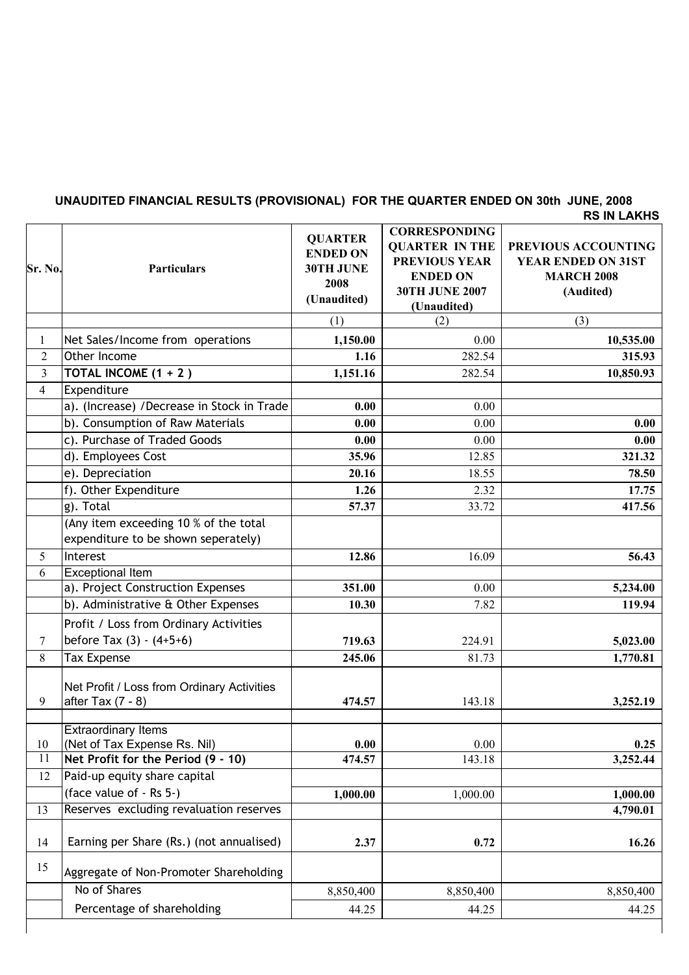## **RS IN LAKHS UNAUDITED FINANCIAL RESULTS (PROVISIONAL) FOR THE QUARTER ENDED ON 30th JUNE, 2008**

| Sr. No.        | <b>Particulars</b>                                                | <b>QUARTER</b><br><b>ENDED ON</b><br>30TH JUNE<br>2008<br>(Unaudited) | <b>CORRESPONDING</b><br><b>QUARTER IN THE</b><br><b>PREVIOUS YEAR</b><br><b>ENDED ON</b><br><b>30TH JUNE 2007</b><br>(Unaudited) | PREVIOUS ACCOUNTING<br><b>YEAR ENDED ON 31ST</b><br><b>MARCH 2008</b><br>(Audited) |
|----------------|-------------------------------------------------------------------|-----------------------------------------------------------------------|----------------------------------------------------------------------------------------------------------------------------------|------------------------------------------------------------------------------------|
|                |                                                                   | (1)                                                                   | (2)                                                                                                                              | (3)                                                                                |
| 1              | Net Sales/Income from operations                                  | 1,150.00                                                              | 0.00                                                                                                                             | 10,535.00                                                                          |
| $\overline{2}$ | Other Income                                                      | 1.16                                                                  | 282.54                                                                                                                           | 315.93                                                                             |
| $\overline{3}$ | TOTAL INCOME (1 + 2)                                              | 1,151.16                                                              | 282.54                                                                                                                           | 10,850.93                                                                          |
| $\overline{4}$ | Expenditure                                                       |                                                                       |                                                                                                                                  |                                                                                    |
|                | a). (Increase) / Decrease in Stock in Trade                       | 0.00                                                                  | 0.00                                                                                                                             |                                                                                    |
|                | b). Consumption of Raw Materials                                  | 0.00                                                                  | 0.00                                                                                                                             | 0.00                                                                               |
|                | c). Purchase of Traded Goods                                      | 0.00                                                                  | 0.00                                                                                                                             | 0.00                                                                               |
|                | d). Employees Cost                                                | 35.96                                                                 | 12.85                                                                                                                            | 321.32                                                                             |
|                | e). Depreciation                                                  | 20.16                                                                 | 18.55                                                                                                                            | 78.50                                                                              |
|                | f). Other Expenditure                                             | 1.26                                                                  | 2.32                                                                                                                             | 17.75                                                                              |
|                | g). Total                                                         | 57.37                                                                 | 33.72                                                                                                                            | 417.56                                                                             |
|                | (Any item exceeding 10 % of the total                             |                                                                       |                                                                                                                                  |                                                                                    |
|                | expenditure to be shown seperately)                               |                                                                       |                                                                                                                                  |                                                                                    |
| 5              | Interest                                                          | 12.86                                                                 | 16.09                                                                                                                            | 56.43                                                                              |
| 6              | <b>Exceptional Item</b>                                           |                                                                       |                                                                                                                                  |                                                                                    |
|                | a). Project Construction Expenses                                 | 351.00                                                                | 0.00                                                                                                                             | 5,234.00                                                                           |
|                | b). Administrative & Other Expenses                               | 10.30                                                                 | 7.82                                                                                                                             | 119.94                                                                             |
|                | Profit / Loss from Ordinary Activities                            |                                                                       |                                                                                                                                  |                                                                                    |
| $\tau$         | before Tax $(3) - (4+5+6)$                                        | 719.63                                                                | 224.91                                                                                                                           | 5,023.00                                                                           |
| 8              | <b>Tax Expense</b>                                                | 245.06                                                                | 81.73                                                                                                                            | 1,770.81                                                                           |
| 9              | Net Profit / Loss from Ordinary Activities<br>after Tax $(7 - 8)$ | 474.57                                                                | 143.18                                                                                                                           | 3,252.19                                                                           |
| 10             | <b>Extraordinary Items</b><br>(Net of Tax Expense Rs. Nil)        | 0.00                                                                  | $0.00\,$                                                                                                                         | 0.25                                                                               |
| 11             | Net Profit for the Period (9 - 10)                                | 474.57                                                                | 143.18                                                                                                                           | 3,252.44                                                                           |
| 12             | Paid-up equity share capital                                      |                                                                       |                                                                                                                                  |                                                                                    |
|                | (face value of - Rs 5-)                                           | 1,000.00                                                              | 1,000.00                                                                                                                         | 1,000.00                                                                           |
| 13             | Reserves excluding revaluation reserves                           |                                                                       |                                                                                                                                  | 4,790.01                                                                           |
| 14             | Earning per Share (Rs.) (not annualised)                          | 2.37                                                                  | 0.72                                                                                                                             | 16.26                                                                              |
| 15             | Aggregate of Non-Promoter Shareholding                            |                                                                       |                                                                                                                                  |                                                                                    |
|                | No of Shares                                                      | 8,850,400                                                             | 8,850,400                                                                                                                        | 8,850,400                                                                          |
|                | Percentage of shareholding                                        | 44.25                                                                 | 44.25                                                                                                                            | 44.25                                                                              |